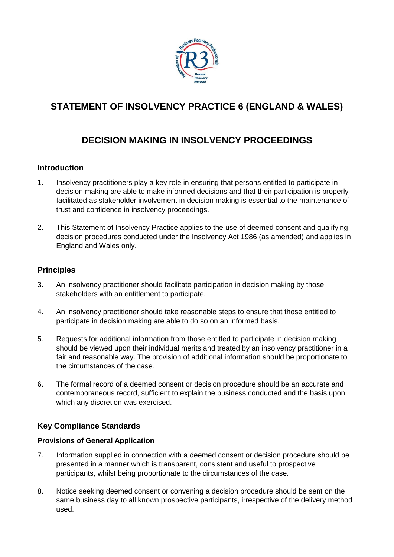

# **STATEMENT OF INSOLVENCY PRACTICE 6 (ENGLAND & WALES)**

# **DECISION MAKING IN INSOLVENCY PROCEEDINGS**

## **Introduction**

- 1. Insolvency practitioners play a key role in ensuring that persons entitled to participate in decision making are able to make informed decisions and that their participation is properly facilitated as stakeholder involvement in decision making is essential to the maintenance of trust and confidence in insolvency proceedings.
- 2. This Statement of Insolvency Practice applies to the use of deemed consent and qualifying decision procedures conducted under the Insolvency Act 1986 (as amended) and applies in England and Wales only.

### **Principles**

- 3. An insolvency practitioner should facilitate participation in decision making by those stakeholders with an entitlement to participate.
- 4. An insolvency practitioner should take reasonable steps to ensure that those entitled to participate in decision making are able to do so on an informed basis.
- 5. Requests for additional information from those entitled to participate in decision making should be viewed upon their individual merits and treated by an insolvency practitioner in a fair and reasonable way. The provision of additional information should be proportionate to the circumstances of the case.
- 6. The formal record of a deemed consent or decision procedure should be an accurate and contemporaneous record, sufficient to explain the business conducted and the basis upon which any discretion was exercised.

## **Key Compliance Standards**

#### **Provisions of General Application**

- 7. Information supplied in connection with a deemed consent or decision procedure should be presented in a manner which is transparent, consistent and useful to prospective participants, whilst being proportionate to the circumstances of the case.
- 8. Notice seeking deemed consent or convening a decision procedure should be sent on the same business day to all known prospective participants, irrespective of the delivery method used.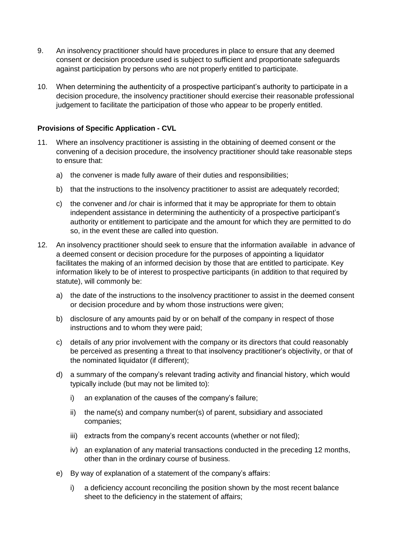- 9. An insolvency practitioner should have procedures in place to ensure that any deemed consent or decision procedure used is subject to sufficient and proportionate safeguards against participation by persons who are not properly entitled to participate.
- 10. When determining the authenticity of a prospective participant's authority to participate in a decision procedure, the insolvency practitioner should exercise their reasonable professional judgement to facilitate the participation of those who appear to be properly entitled.

### **Provisions of Specific Application - CVL**

- 11. Where an insolvency practitioner is assisting in the obtaining of deemed consent or the convening of a decision procedure, the insolvency practitioner should take reasonable steps to ensure that:
	- a) the convener is made fully aware of their duties and responsibilities;
	- b) that the instructions to the insolvency practitioner to assist are adequately recorded;
	- c) the convener and /or chair is informed that it may be appropriate for them to obtain independent assistance in determining the authenticity of a prospective participant's authority or entitlement to participate and the amount for which they are permitted to do so, in the event these are called into question.
- 12. An insolvency practitioner should seek to ensure that the information available in advance of a deemed consent or decision procedure for the purposes of appointing a liquidator facilitates the making of an informed decision by those that are entitled to participate. Key information likely to be of interest to prospective participants (in addition to that required by statute), will commonly be:
	- a) the date of the instructions to the insolvency practitioner to assist in the deemed consent or decision procedure and by whom those instructions were given;
	- b) disclosure of any amounts paid by or on behalf of the company in respect of those instructions and to whom they were paid;
	- c) details of any prior involvement with the company or its directors that could reasonably be perceived as presenting a threat to that insolvency practitioner's objectivity, or that of the nominated liquidator (if different);
	- d) a summary of the company's relevant trading activity and financial history, which would typically include (but may not be limited to):
		- i) an explanation of the causes of the company's failure;
		- ii) the name(s) and company number(s) of parent, subsidiary and associated companies;
		- iii) extracts from the company's recent accounts (whether or not filed);
		- iv) an explanation of any material transactions conducted in the preceding 12 months, other than in the ordinary course of business.
	- e) By way of explanation of a statement of the company's affairs:
		- i) a deficiency account reconciling the position shown by the most recent balance sheet to the deficiency in the statement of affairs;